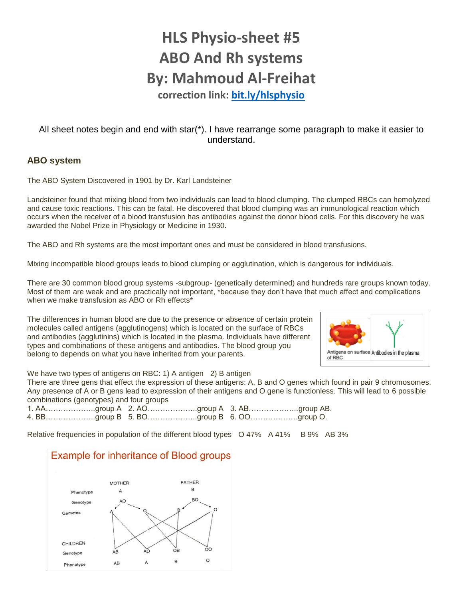# **HLS Physio-sheet #5 ABO And Rh systems By: Mahmoud Al-Freihat**

**correction link:<bit.ly/hlsphysio>**

All sheet notes begin and end with star(\*). I have rearrange some paragraph to make it easier to understand.

## **ABO system**

The ABO System Discovered in 1901 by Dr. Karl Landsteiner

Landsteiner found that mixing blood from two individuals can lead to blood clumping. The clumped RBCs can hemolyzed and cause toxic reactions. This can be fatal. He discovered that blood clumping was an immunological reaction which occurs when the receiver of a blood transfusion has antibodies against the donor blood cells. For this discovery he was awarded the Nobel Prize in Physiology or Medicine in 1930.

The ABO and Rh systems are the most important ones and must be considered in blood transfusions.

Mixing incompatible blood groups leads to blood clumping or agglutination, which is dangerous for individuals.

There are 30 common blood group systems -subgroup- (genetically determined) and hundreds rare groups known today. Most of them are weak and are practically not important, \*because they don't have that much affect and complications when we make transfusion as ABO or Rh effects<sup>\*</sup>

The differences in human blood are due to the presence or absence of certain protein molecules called antigens (agglutinogens) which is located on the surface of RBCs and antibodies (agglutinins) which is located in the plasma. Individuals have different types and combinations of these antigens and antibodies. The blood group you belong to depends on what you have inherited from your parents.



We have two types of antigens on RBC: 1) A antigen 2) B antigen

There are three gens that effect the expression of these antigens: A, B and O genes which found in pair 9 chromosomes. Any presence of A or B gens lead to expression of their antigens and O gene is functionless. This will lead to 6 possible combinations (genotypes) and four groups

|  | 1. AAgroup A 2. AOgroup A 3. ABgroup AB. |
|--|------------------------------------------|
|  | 4. BBgroup B 5. BOgroup B 6. OOgroup O.  |

Relative frequencies in population of the different blood types  $\overline{O}$  47% A 41% B 9% AB 3%

# **Example for inheritance of Blood groups**

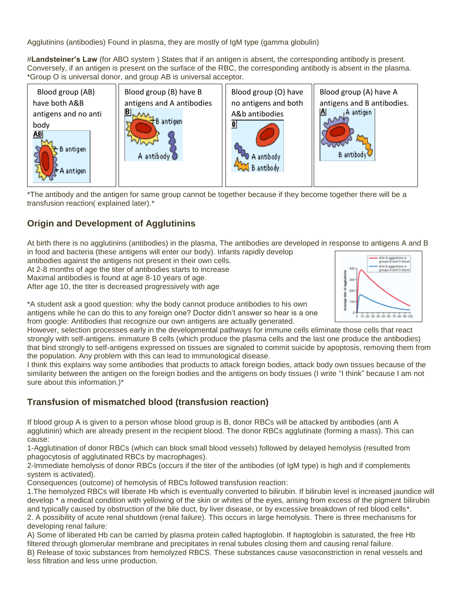Agglutinins (antibodies) Found in plasma, they are mostly of IgM type (gamma globulin)

#**Landsteiner's Law** (for ABO system ) States that if an antigen is absent, the corresponding antibody is present. Conversely, if an antigen is present on the surface of the RBC, the corresponding antibody is absent in the plasma. \*Group O is universal donor, and group AB is universal acceptor.



\*The antibody and the antigen for same group cannot be together because if they become together there will be a transfusion reaction( explained later).\*

# **Origin and Development of Agglutinins**

At birth there is no agglutinins (antibodies) in the plasma, The antibodies are developed in response to antigens A and B in food and bacteria (these antigens will enter our body). Infants rapidly develop

antibodies against the antigens not present in their own cells.

At 2-8 months of age the titer of antibodies starts to increase

Maximal antibodies is found at age 8-10 years of age.

After age 10, the titer is decreased progressively with age



\*A student ask a good question: why the body cannot produce antibodies to his own antigens while he can do this to any foreign one? Doctor didn't answer so hear is a one from google: Antibodies that recognize our own antigens are actually generated.

However, selection processes early in the developmental pathways for immune cells eliminate those cells that react strongly with self-antigens. immature B cells (which produce the plasma cells and the last one produce the antibodies) that bind strongly to self-antigens expressed on tissues are signaled to commit suicide by apoptosis, removing them from the population. Any problem with this can lead to immunological disease.

I think this explains way some antibodies that products to attack foreign bodies, attack body own tissues because of the similarity between the antigen on the foreign bodies and the antigens on body tissues (I write "I think" because I am not sure about this information.)\*

# **Transfusion of mismatched blood (transfusion reaction)**

If blood group A is given to a person whose blood group is B, donor RBCs will be attacked by antibodies (anti A agglutinin) which are already present in the recipient blood. The donor RBCs agglutinate (forming a mass). This can cause:

1-Agglutination of donor RBCs (which can block small blood vessels) followed by delayed hemolysis (resulted from phagocytosis of agglutinated RBCs by macrophages).

2-Immediate hemolysis of donor RBCs (occurs if the titer of the antibodies (of IgM type) is high and if complements system is activated).

Consequences (outcome) of hemolysis of RBCs followed transfusion reaction:

1.The hemolyzed RBCs will liberate Hb which is eventually converted to bilirubin. If bilirubin level is increased jaundice will develop \* a medical condition with yellowing of the skin or whites of the eyes, arising from excess of the pigment bilirubin and typically caused by obstruction of the bile duct, by liver disease, or by excessive breakdown of red blood cells\*. 2. A possibility of acute renal shutdown (renal failure). This occurs in large hemolysis. There is three mechanisms for developing renal failure:

A) Some of liberated Hb can be carried by plasma protein called haptoglobin. If haptoglobin is saturated, the free Hb filtered through glomerular membrane and precipitates in renal tubules closing them and causing renal failure. B) Release of toxic substances from hemolyzed RBCS. These substances cause vasoconstriction in renal vessels and less filtration and less urine production.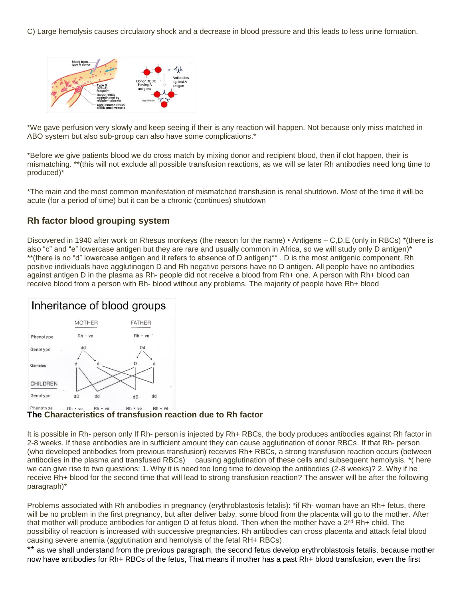C) Large hemolysis causes circulatory shock and a decrease in blood pressure and this leads to less urine formation.



\*We gave perfusion very slowly and keep seeing if their is any reaction will happen. Not because only miss matched in ABO system but also sub-group can also have some complications.\*

\*Before we give patients blood we do cross match by mixing donor and recipient blood, then if clot happen, their is mismatching. \*\*(this will not exclude all possible transfusion reactions, as we will se later Rh antibodies need long time to produced)\*

\*The main and the most common manifestation of mismatched transfusion is renal shutdown. Most of the time it will be acute (for a period of time) but it can be a chronic (continues) shutdown

## **Rh factor blood grouping system**

Discovered in 1940 after work on Rhesus monkeys (the reason for the name) • Antigens – C,D,E (only in RBCs) \*(there is also "c" and "e" lowercase antigen but they are rare and usually common in Africa, so we will study only D antigen)\* \*\*(there is no "d" lowercase antigen and it refers to absence of D antigen)\*\* . D is the most antigenic component. Rh positive individuals have agglutinogen D and Rh negative persons have no D antigen. All people have no antibodies against antigen D in the plasma as Rh- people did not receive a blood from Rh+ one. A person with Rh+ blood can receive blood from a person with Rh- blood without any problems. The majority of people have Rh+ blood

# Inheritance of blood groups



#### **The Characteristics of transfusion reaction due to Rh factor**

It is possible in Rh- person only If Rh- person is injected by Rh+ RBCs, the body produces antibodies against Rh factor in 2-8 weeks. If these antibodies are in sufficient amount they can cause agglutination of donor RBCs. If that Rh- person (who developed antibodies from previous transfusion) receives Rh+ RBCs, a strong transfusion reaction occurs (between antibodies in the plasma and transfused RBCs) causing agglutination of these cells and subsequent hemolysis. \*( here we can give rise to two questions: 1. Why it is need too long time to develop the antibodies (2-8 weeks)? 2. Why if he receive Rh+ blood for the second time that will lead to strong transfusion reaction? The answer will be after the following paragraph)\*

Problems associated with Rh antibodies in pregnancy (erythroblastosis fetalis): \*if Rh- woman have an Rh+ fetus, there will be no problem in the first pregnancy, but after deliver baby, some blood from the placenta will go to the mother. After that mother will produce antibodies for antigen D at fetus blood. Then when the mother have a 2<sup>nd</sup> Rh+ child. The possibility of reaction is increased with successive pregnancies. Rh antibodies can cross placenta and attack fetal blood causing severe anemia (agglutination and hemolysis of the fetal RH+ RBCs).

\*\* as we shall understand from the previous paragraph, the second fetus develop erythroblastosis fetalis, because mother now have antibodies for Rh+ RBCs of the fetus, That means if mother has a past Rh+ blood transfusion, even the first